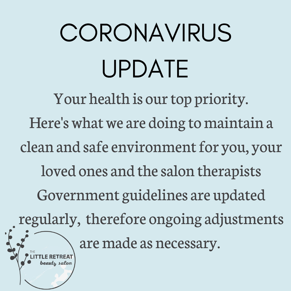# CORONAVIRUS UPDATE

Your health is our top priority. Here's what we are doing to maintain a clean and safe environment for you, your loved ones and the salon therapists Government guidelines are updated regularly, therefore ongoing adjustments are made as necessary. ıtı salo*ı*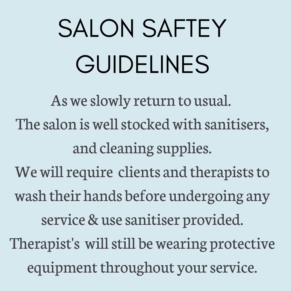# SALON SAFTEY GUIDELINES

Asweslowly return to usual. The salon is well stocked with sanitisers, and cleaning supplies. We will require clients and therapists to wash their hands before undergoing any service & use sanitiser provided. Therapist's will still be wearing protective equipment throughout your service.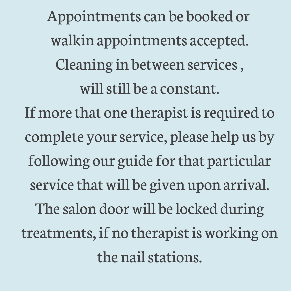Appointmentscan be booked or walkin appointments accepted. Cleaning in between services, will still be a constant. If more that one therapist is required to complete your service, please help us by following our guide for that particular service that will be given upon arrival. The salon door will be locked during treatments, if no therapist is working on the nail stations.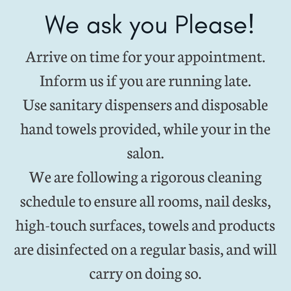### We ask you Please!

Arrive on time for your appointment. Inform us if you are running late. Use sanitary dispensers and disposable hand towels provided, while your in the salon.

We are following a rigorous cleaning schedule to ensure all rooms, nail desks, high-touch surfaces, towels and products are disinfected on a regular basis, andwill carry on doing so.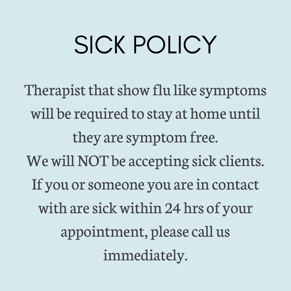#### SICK POLICY

Therapist that show flu like symptoms will be required to stay at home until they are symptom free. We will NOT be accepting sick clients. If you or someone you are in contact with are sick within 24 hrs of your appointment, pleasecall us immediately.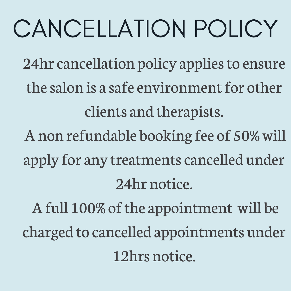## CANCELLATION POLICY

24hr cancellation policy applies to ensure the salon is a safe environment for other clients and therapists.

Anon refundable booking fee of 50%will apply for any treatments cancelled under 24hr notice.

A full 100% of the appointment will be charged to cancelled appointments under 12hrs notice.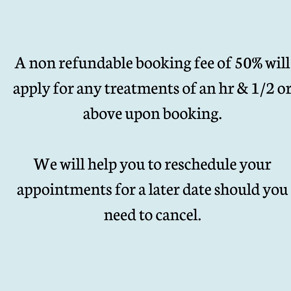Anon refundable booking fee of 50%will apply for any treatments of an hr&1/2 or above upon booking.

Wewill help you to reschedule your appointmentsfor a later dateshould you need to cancel.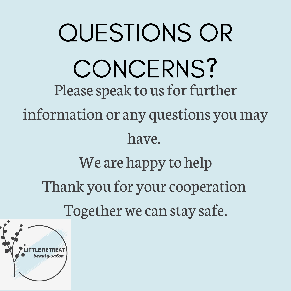QUESTIONS OR CONCERNS? Please speak to us for further information or any questions youmay have. We are happy to help Thank you for your cooperation Together we can stay safe.